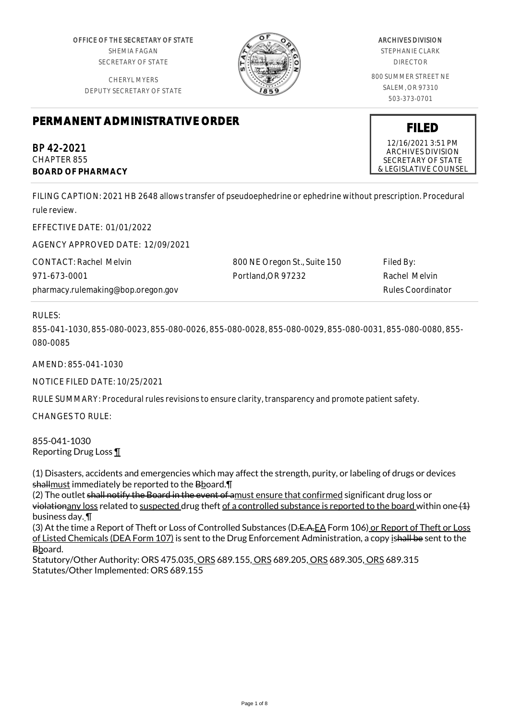OFFICE OF THE SECRETARY OF STATE SHEMIA FAGAN SECRETARY OF STATE

CHERYL MYERS DEPUTY SECRETARY OF STATE



## ARCHIVES DIVISION

STEPHANIE CLARK DIRECTOR

800 SUMMER STREET NE SALEM, OR 97310 503-373-0701

**FILED** 12/16/2021 3:51 PM ARCHIVES DIVISION SECRETARY OF STATE & LEGISLATIVE COUNSEL

# **PERMANENT ADMINISTRATIVE ORDER**

BP 42-2021 CHAPTER 855 **BOARD OF PHARMACY**

FILING CAPTION: 2021 HB 2648 allows transfer of pseudoephedrine or ephedrine without prescription. Procedural rule review.

EFFECTIVE DATE: 01/01/2022

AGENCY APPROVED DATE: 12/09/2021

CONTACT: Rachel Melvin 971-673-0001 pharmacy.rulemaking@bop.oregon.gov 800 NE Oregon St., Suite 150 Portland,OR 97232

Filed By: Rachel Melvin Rules Coordinator

RULES:

855-041-1030, 855-080-0023, 855-080-0026, 855-080-0028, 855-080-0029, 855-080-0031, 855-080-0080, 855- 080-0085

AMEND: 855-041-1030

NOTICE FILED DATE: 10/25/2021

RULE SUMMARY: Procedural rules revisions to ensure clarity, transparency and promote patient safety.

CHANGES TO RULE:

855-041-1030 Reporting Drug Loss ¶

(1) Disasters, accidents and emergencies which may affect the strength, purity, or labeling of drugs or devices shallmust immediately be reported to the Bboard. T

(2) The outlet shall notify the Board in the event of amust ensure that confirmed significant drug loss or violationany loss related to suspected drug theft of a controlled substance is reported to the board within one  $(1)$ business day. ¶

(3) At the time a Report of Theft or Loss of Controlled Substances (D.E.A.EA Form 106) or Report of Theft or Loss of Listed Chemicals (DEA Form 107) is sent to the Drug Enforcement Administration, a copy ishall be sent to the Bboard.

Statutory/Other Authority: ORS 475.035, ORS 689.155, ORS 689.205, ORS 689.305, ORS 689.315 Statutes/Other Implemented: ORS 689.155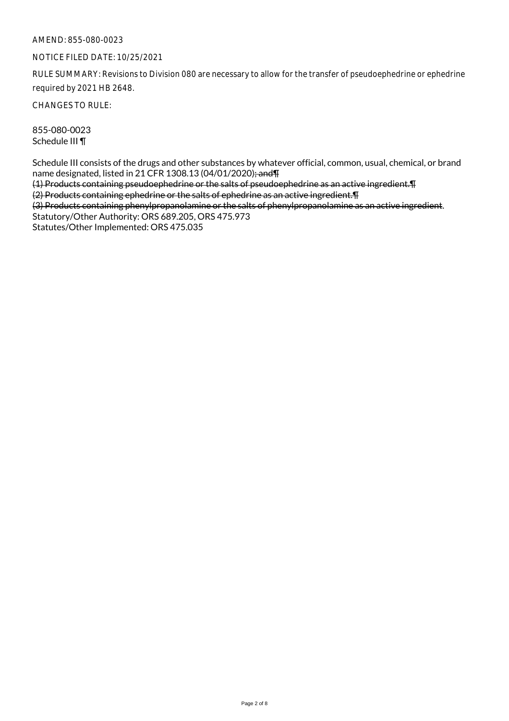#### NOTICE FILED DATE: 10/25/2021

RULE SUMMARY: Revisions to Division 080 are necessary to allow for the transfer of pseudoephedrine or ephedrine required by 2021 HB 2648.

CHANGES TO RULE:

855-080-0023 Schedule III ¶

Schedule III consists of the drugs and other substances by whatever official, common, usual, chemical, or brand name designated, listed in 21 CFR 1308.13 (04/01/2020); and T

(1) Products containing pseudoephedrine or the salts of pseudoephedrine as an active ingredient.¶

(2) Products containing ephedrine or the salts of ephedrine as an active ingredient.¶

(3) Products containing phenylpropanolamine or the salts of phenylpropanolamine as an active ingredient. Statutory/Other Authority: ORS 689.205, ORS 475.973 Statutes/Other Implemented: ORS 475.035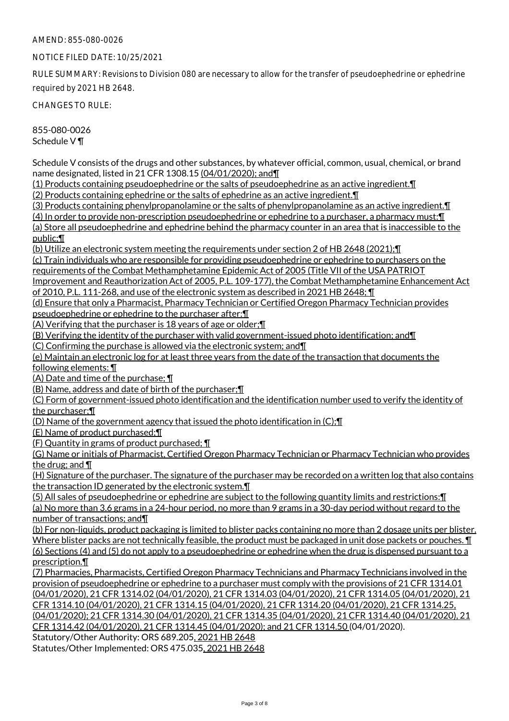#### NOTICE FILED DATE: 10/25/2021

RULE SUMMARY: Revisions to Division 080 are necessary to allow for the transfer of pseudoephedrine or ephedrine required by 2021 HB 2648.

CHANGES TO RULE:

855-080-0026 Schedule V ¶

Schedule V consists of the drugs and other substances, by whatever official, common, usual, chemical, or brand name designated, listed in 21 CFR 1308.15 (04/01/2020); and¶

(1) Products containing pseudoephedrine or the salts of pseudoephedrine as an active ingredient.¶ (2) Products containing ephedrine or the salts of ephedrine as an active ingredient.¶

(3) Products containing phenylpropanolamine or the salts of phenylpropanolamine as an active ingredient.¶

(4) In order to provide non-prescription pseudoephedrine or ephedrine to a purchaser, a pharmacy must:¶

(a) Store all pseudoephedrine and ephedrine behind the pharmacy counter in an area that is inaccessible to the public;¶

(b) Utilize an electronic system meeting the requirements under section 2 of HB 2648 (2021);¶ (c) Train individuals who are responsible for providing pseudoephedrine or ephedrine to purchasers on the requirements of the Combat Methamphetamine Epidemic Act of 2005 (Title VII of the USA PATRIOT

Improvement and Reauthorization Act of 2005, P.L. 109-177), the Combat Methamphetamine Enhancement Act of 2010, P.L. 111-268, and use of the electronic system as described in 2021 HB 2648; ¶

(d) Ensure that only a Pharmacist, Pharmacy Technician or Certified Oregon Pharmacy Technician provides pseudoephedrine or ephedrine to the purchaser after:¶

(A) Verifying that the purchaser is 18 years of age or older;¶

(B) Verifying the identity of the purchaser with valid government-issued photo identification; and¶

(C) Confirming the purchase is allowed via the electronic system; and¶

(e) Maintain an electronic log for at least three years from the date of the transaction that documents the following elements: ¶

(A) Date and time of the purchase; ¶

(B) Name, address and date of birth of the purchaser;¶

(C) Form of government-issued photo identification and the identification number used to verify the identity of the purchaser;¶

(D) Name of the government agency that issued the photo identification in (C);¶

(E) Name of product purchased;¶

(F) Quantity in grams of product purchased;  $\P$ 

(G) Name or initials of Pharmacist, Certified Oregon Pharmacy Technician or Pharmacy Technician who provides the drug; and ¶

(H) Signature of the purchaser. The signature of the purchaser may be recorded on a written log that also contains the transaction ID generated by the electronic system.¶

(5) All sales of pseudoephedrine or ephedrine are subject to the following quantity limits and restrictions:¶ (a) No more than 3.6 grams in a 24-hour period, no more than 9 grams in a 30-day period without regard to the number of transactions; and¶

(b) For non-liquids, product packaging is limited to blister packs containing no more than 2 dosage units per blister. Where blister packs are not technically feasible, the product must be packaged in unit dose packets or pouches.  $\P$ (6) Sections (4) and (5) do not apply to a pseudoephedrine or ephedrine when the drug is dispensed pursuant to a prescription.¶

(7) Pharmacies, Pharmacists, Certified Oregon Pharmacy Technicians and Pharmacy Technicians involved in the provision of pseudoephedrine or ephedrine to a purchaser must comply with the provisions of 21 CFR 1314.01 (04/01/2020), 21 CFR 1314.02 (04/01/2020), 21 CFR 1314.03 (04/01/2020), 21 CFR 1314.05 (04/01/2020), 21 CFR 1314.10 (04/01/2020), 21 CFR 1314.15 (04/01/2020), 21 CFR 1314.20 (04/01/2020), 21 CFR 1314.25, (04/01/2020); 21 CFR 1314.30 (04/01/2020), 21 CFR 1314.35 (04/01/2020), 21 CFR 1314.40 (04/01/2020), 21 CFR 1314.42 (04/01/2020), 21 CFR 1314.45 (04/01/2020); and 21 CFR 1314.50 (04/01/2020). Statutory/Other Authority: ORS 689.205, 2021 HB 2648

Statutes/Other Implemented: ORS 475.035, 2021 HB 2648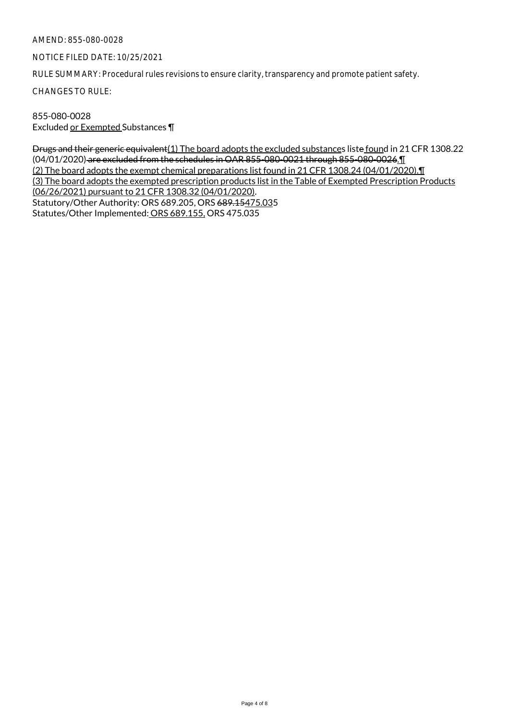#### NOTICE FILED DATE: 10/25/2021

RULE SUMMARY: Procedural rules revisions to ensure clarity, transparency and promote patient safety.

CHANGES TO RULE:

855-080-0028 Excluded or Exempted Substances ¶

Drugs and their generic equivalent(1) The board adopts the excluded substances liste found in 21 CFR 1308.22 (04/01/2020) are excluded from the schedules in OAR 855-080-0021 through 855-080-0026.¶ (2) The board adopts the exempt chemical preparations list found in 21 CFR 1308.24 (04/01/2020).¶ (3) The board adopts the exempted prescription products list in the Table of Exempted Prescription Products (06/26/2021) pursuant to 21 CFR 1308.32 (04/01/2020). Statutory/Other Authority: ORS 689.205, ORS 689.15475.035 Statutes/Other Implemented: ORS 689.155, ORS 475.035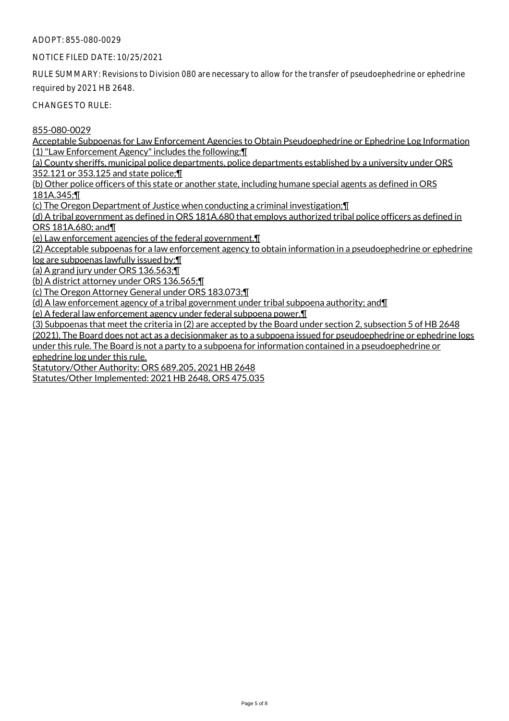#### ADOPT: 855-080-0029

#### NOTICE FILED DATE: 10/25/2021

RULE SUMMARY: Revisions to Division 080 are necessary to allow for the transfer of pseudoephedrine or ephedrine required by 2021 HB 2648.

CHANGES TO RULE:

855-080-0029

Acceptable Subpoenas for Law Enforcement Agencies to Obtain Pseudoephedrine or Ephedrine Log Information (1) "Law Enforcement Agency" includes the following:¶

(a) County sheriffs, municipal police departments, police departments established by a university under ORS 352.121 or 353.125 and state police;¶

(b) Other police officers of this state or another state, including humane special agents as defined in ORS 181A.345;¶

(c) The Oregon Department of Justice when conducting a criminal investigation;¶

(d) A tribal government as defined in ORS 181A.680 that employs authorized tribal police officers as defined in ORS 181A.680; and¶

(e) Law enforcement agencies of the federal government.¶

(2) Acceptable subpoenas for a law enforcement agency to obtain information in a pseudoephedrine or ephedrine log are subpoenas lawfully issued by:¶

(a) A grand jury under ORS 136.563;¶

(b) A district attorney under ORS 136.565;¶

(c) The Oregon Attorney General under ORS 183.073;¶

(d) A law enforcement agency of a tribal government under tribal subpoena authority; and¶

(e) A federal law enforcement agency under federal subpoena power.¶

(3) Subpoenas that meet the criteria in (2) are accepted by the Board under section 2, subsection 5 of HB 2648

(2021). The Board does not act as a decisionmaker as to a subpoena issued for pseudoephedrine or ephedrine logs under this rule. The Board is not a party to a subpoena for information contained in a pseudoephedrine or

ephedrine log under this rule.

Statutory/Other Authority: ORS 689.205, 2021 HB 2648 Statutes/Other Implemented: 2021 HB 2648, ORS 475.035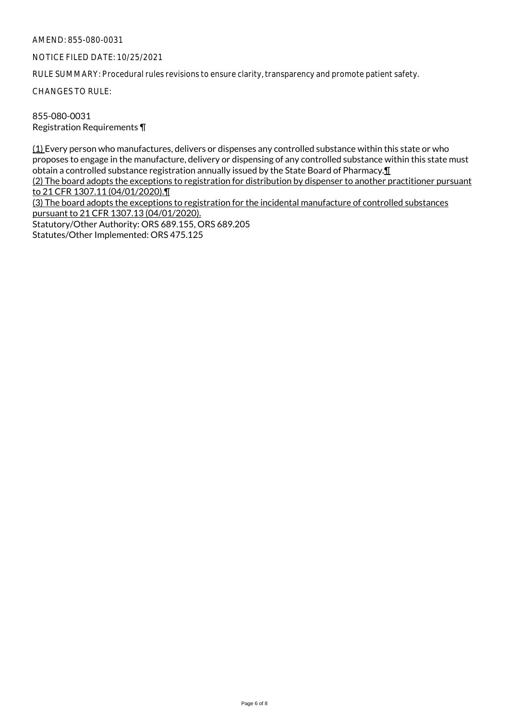#### NOTICE FILED DATE: 10/25/2021

RULE SUMMARY: Procedural rules revisions to ensure clarity, transparency and promote patient safety.

CHANGES TO RULE:

855-080-0031 Registration Requirements ¶

(1) Every person who manufactures, delivers or dispenses any controlled substance within this state or who proposes to engage in the manufacture, delivery or dispensing of any controlled substance within this state must obtain a controlled substance registration annually issued by the State Board of Pharmacy.¶ (2) The board adopts the exceptions to registration for distribution by dispenser to another practitioner pursuant to 21 CFR 1307.11 (04/01/2020).¶ (3) The board adopts the exceptions to registration for the incidental manufacture of controlled substances pursuant to 21 CFR 1307.13 (04/01/2020). Statutory/Other Authority: ORS 689.155, ORS 689.205 Statutes/Other Implemented: ORS 475.125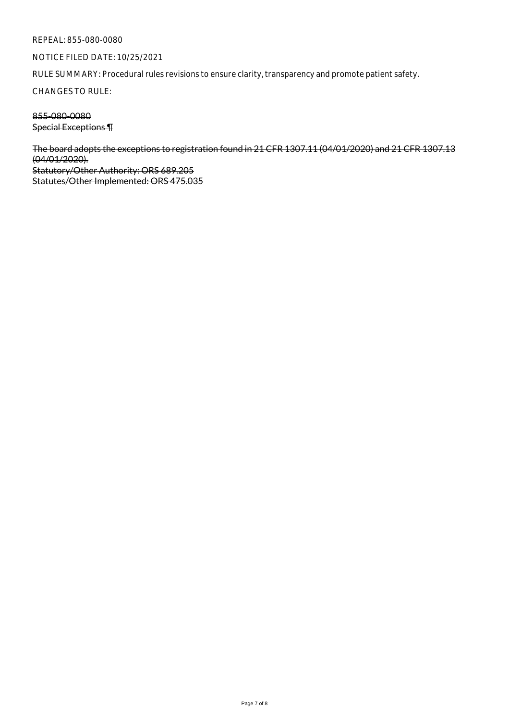#### REPEAL: 855-080-0080

#### NOTICE FILED DATE: 10/25/2021

RULE SUMMARY: Procedural rules revisions to ensure clarity, transparency and promote patient safety.

CHANGES TO RULE:

855-080-0080 Special Exceptions ¶

The board adopts the exceptions to registration found in 21 CFR 1307.11 (04/01/2020) and 21 CFR 1307.13 (04/01/2020). Statutory/Other Authority: ORS 689.205 Statutes/Other Implemented: ORS 475.035